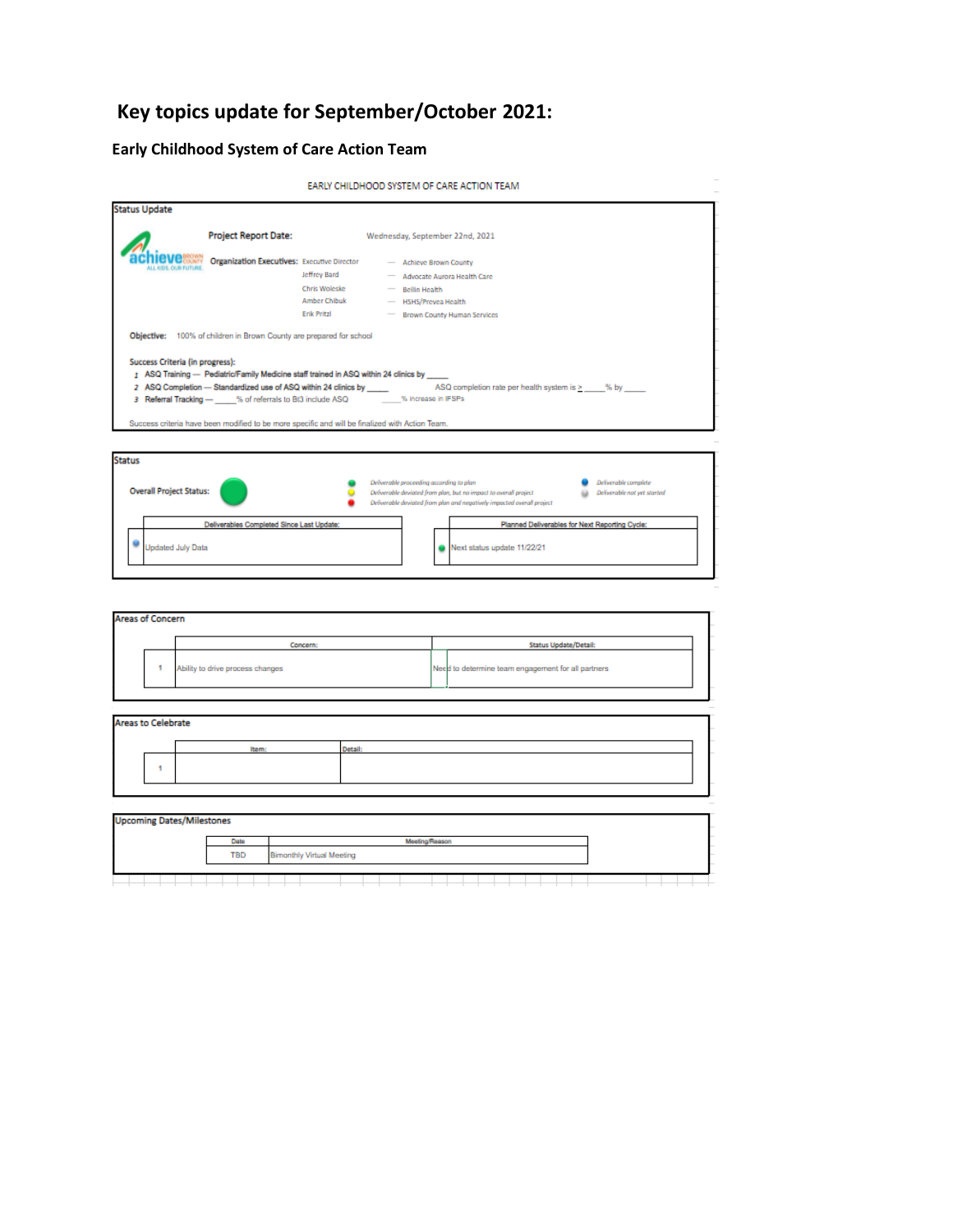# **Key topics update for September/October 2021:**

# **Early Childhood System of Care Action Team**

```
EARLY CHILDHOOD SYSTEM OF CARE ACTION TEAM
```

|                                 | <b>Project Report Date:</b>                                                                                                                                                |                                                              | Wednesday, September 22nd, 2021                                                                                                     |
|---------------------------------|----------------------------------------------------------------------------------------------------------------------------------------------------------------------------|--------------------------------------------------------------|-------------------------------------------------------------------------------------------------------------------------------------|
|                                 | <b>Organization Executives:</b> Executive Director                                                                                                                         | Jeffrey Bard<br>Chris Woleske<br>Amber Chibuk<br>Erik Pritzl | - Achieve Brown County<br>- Advocate Aurora Health Care<br>- Bellin Health<br>- HSHS/Prevea Health<br>- Brown County Human Services |
|                                 | Objective: 100% of children in Brown County are prepared for school                                                                                                        |                                                              |                                                                                                                                     |
| Success Criteria (in progress): | 1 ASQ Training - Pediatric/Family Medicine staff trained in ASQ within 24 clinics by<br>3 Referral Tracking - % of referrals to Bt3 include ASQ _______% increase in IFSPs |                                                              | 2 ASQ Completion - Standardized use of ASQ within 24 clinics by _____ ASQ completion rate per health system is > ___ % by ____      |



| <b>Areas of Concern</b>          |   |                                  |                                  |                |                                                    |  |
|----------------------------------|---|----------------------------------|----------------------------------|----------------|----------------------------------------------------|--|
|                                  |   |                                  | Concern:                         |                | Status Update/Detail:                              |  |
|                                  | ٩ | Ability to drive process changes |                                  |                | Need to determine team engagement for all partners |  |
| <b>Areas to Celebrate</b>        |   |                                  |                                  |                |                                                    |  |
|                                  |   | Item:                            |                                  | Detail:        |                                                    |  |
|                                  |   |                                  |                                  |                |                                                    |  |
|                                  |   |                                  |                                  |                |                                                    |  |
| <b>Upcoming Dates/Milestones</b> |   |                                  |                                  |                |                                                    |  |
|                                  |   | Date                             |                                  | Meeting/Reason |                                                    |  |
|                                  |   | <b>TBD</b>                       | <b>Bimonthly Virtual Meeting</b> |                |                                                    |  |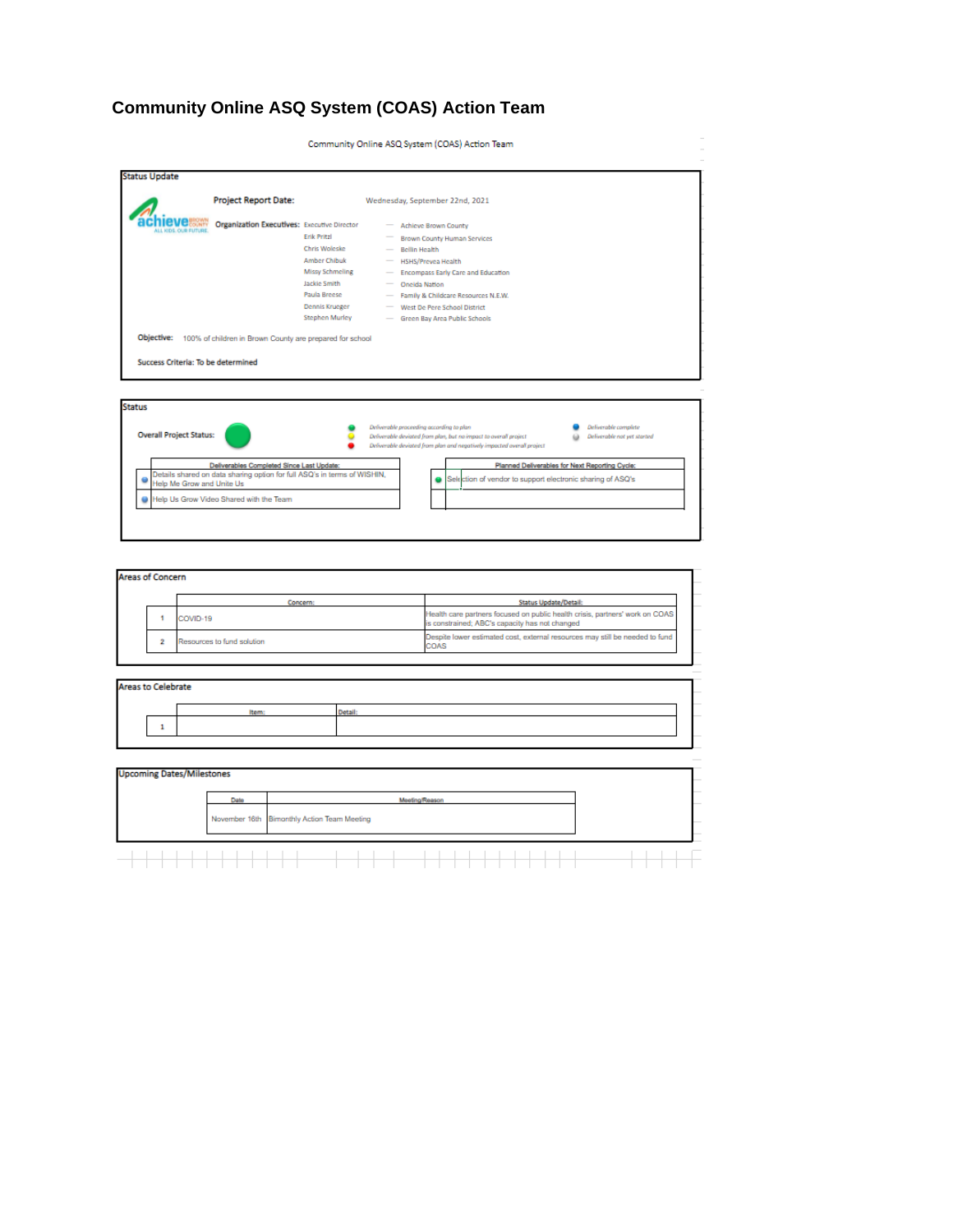# **Community Online ASQ System (COAS) Action Team**

Community Online ASQ System (COAS) Action Team

|                                                  | <b>Project Report Date:</b>                                              |                        | Wednesday, September 22nd, 2021                                                                                                                                     |
|--------------------------------------------------|--------------------------------------------------------------------------|------------------------|---------------------------------------------------------------------------------------------------------------------------------------------------------------------|
|                                                  |                                                                          |                        |                                                                                                                                                                     |
| <b>U.L. KIDS, OUR EUTURE</b>                     | <b>Organization Executives:</b> Executive Director                       |                        | <b>Achieve Brown County</b>                                                                                                                                         |
|                                                  |                                                                          | Erik Pritzl            | Brown County Human Services                                                                                                                                         |
|                                                  |                                                                          | Chris Woleske          | Bellin Health                                                                                                                                                       |
|                                                  |                                                                          | Amber Chibuk           | <b>HSHS/Prevea Health</b>                                                                                                                                           |
|                                                  |                                                                          | <b>Missy Schmeling</b> | <b>Encompass Early Care and Education</b>                                                                                                                           |
|                                                  |                                                                          | Jackie Smith           | <b>Oneida Nation</b>                                                                                                                                                |
|                                                  |                                                                          | Paula Breese           | Family & Childcare Resources N.E.W.                                                                                                                                 |
|                                                  |                                                                          | Dennis Krueger         | West De Pere School District                                                                                                                                        |
|                                                  |                                                                          |                        |                                                                                                                                                                     |
| Objective:<br>Success Criteria: To be determined | 100% of children in Brown County are prepared for school                 | <b>Stephen Murley</b>  | Green Bay Area Public Schools                                                                                                                                       |
| <b>Status</b><br><b>Overall Project Status:</b>  |                                                                          |                        | Deliverable proceeding according to plan<br>Deliverable complete<br>Deliverable deviated from plon, but no impact to overall project<br>Deliverable not yet started |
|                                                  |                                                                          |                        | Deliverable deviated from plan and negatively impacted overall project                                                                                              |
|                                                  | Deliverables Completed Since Last Update:                                |                        | Planned Deliverables for Next Reporting Cycle:                                                                                                                      |
| Help Me Grow and Unite Us                        | Details shared on data sharing option for full ASQ's in terms of WISHIN, |                        | Selection of vendor to support electronic sharing of ASQ's                                                                                                          |

|                           | Concern:                   | <b>Status Update/Detail:</b>                                                                                                   |
|---------------------------|----------------------------|--------------------------------------------------------------------------------------------------------------------------------|
|                           | COVID-19                   | Health care partners focused on public health crisis, partners' work on COAS<br>is constrained; ABC's capacity has not changed |
| $\overline{2}$            | Resources to fund solution | Despite lower estimated cost, external resources may still be needed to fund<br>COAS                                           |
|                           |                            |                                                                                                                                |
| <b>Areas to Celebrate</b> |                            |                                                                                                                                |
|                           |                            |                                                                                                                                |

| <b>Upcoming Dates/Milestones</b> |  |  |  |  |      |  |  |                                             |  |  |  |  |                       |  |  |  |  |  |  |  |  |  |  |  |
|----------------------------------|--|--|--|--|------|--|--|---------------------------------------------|--|--|--|--|-----------------------|--|--|--|--|--|--|--|--|--|--|--|
|                                  |  |  |  |  | Date |  |  |                                             |  |  |  |  | <b>Meeting/Reason</b> |  |  |  |  |  |  |  |  |  |  |  |
|                                  |  |  |  |  |      |  |  | November 16th Bimonthly Action Team Meeting |  |  |  |  |                       |  |  |  |  |  |  |  |  |  |  |  |
|                                  |  |  |  |  |      |  |  |                                             |  |  |  |  |                       |  |  |  |  |  |  |  |  |  |  |  |
|                                  |  |  |  |  |      |  |  |                                             |  |  |  |  |                       |  |  |  |  |  |  |  |  |  |  |  |
|                                  |  |  |  |  |      |  |  |                                             |  |  |  |  |                       |  |  |  |  |  |  |  |  |  |  |  |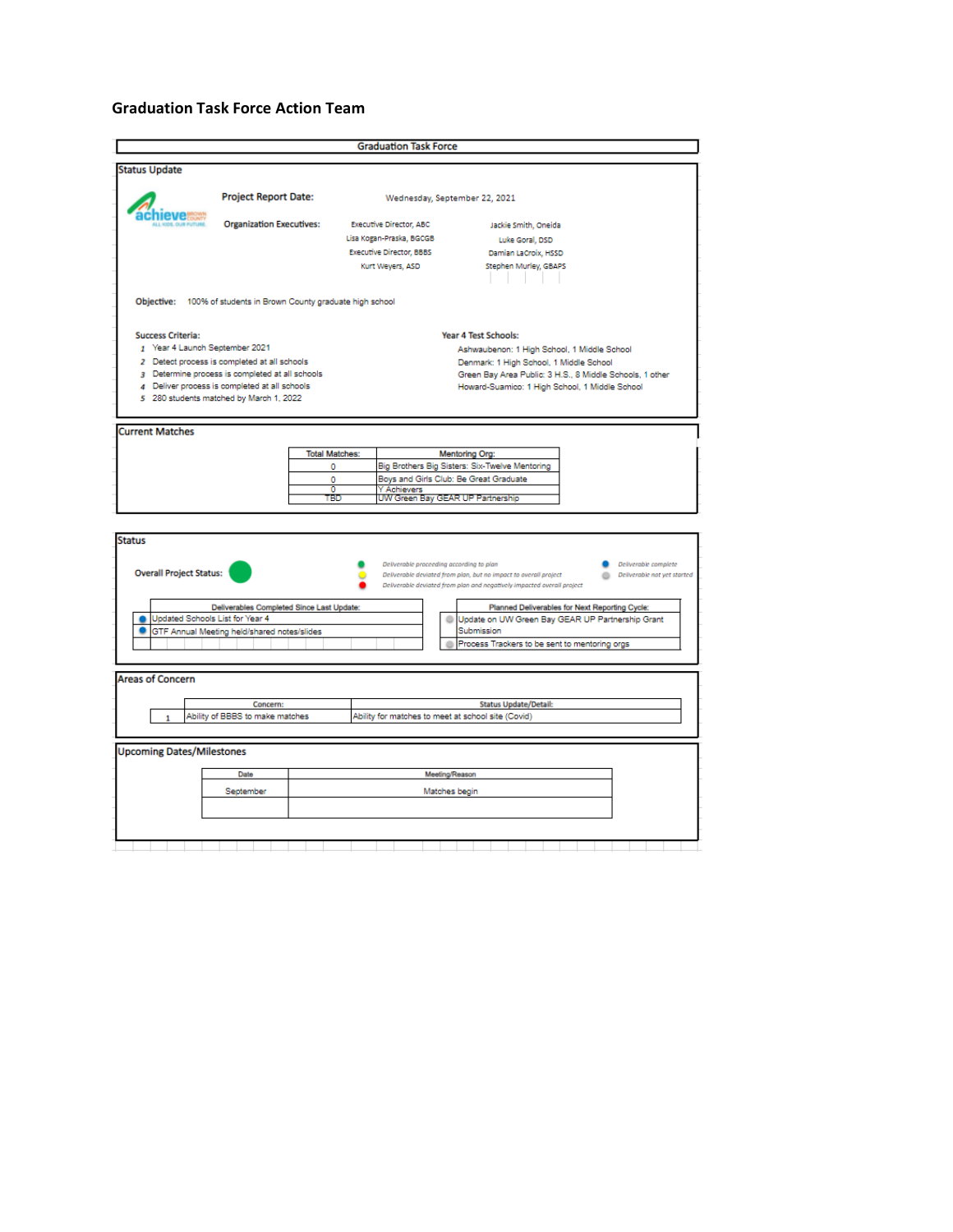#### **Graduation Task Force Action Team**

| <b>Status Update</b><br><b>Project Report Date:</b><br>Wednesday, September 22, 2021<br><b>Organization Executives:</b><br><b>Executive Director, ABC</b><br>Jackie Smith, Oneida<br>Lisa Kogan-Praska, BGCGB<br>Luke Goral, DSD<br><b>Executive Director, BBBS</b><br>Damian LaCroix, HSSD<br>Stephen Murley, GBAPS<br>Kurt Weyers, ASD<br>Objective: 100% of students in Brown County graduate high school<br>Year 4 Test Schools:<br><b>Success Criteria:</b><br>1 Year 4 Launch September 2021<br>Ashwaubenon: 1 High School, 1 Middle School<br>2 Detect process is completed at all schools<br>Denmark: 1 High School, 1 Middle School<br>3 Determine process is completed at all schools<br>Green Bay Area Public: 3 H.S., 8 Middle Schools, 1 other<br>4 Deliver process is completed at all schools<br>Howard-Suamico: 1 High School, 1 Middle School<br>5 280 students matched by March 1, 2022<br><b>Current Matches</b><br><b>Total Matches:</b><br><b>Mentoring Org:</b><br>Big Brothers Big Sisters: Six-Twelve Mentoring<br>٥<br>Boys and Girls Club: Be Great Graduate<br>٥<br>0<br>Y Achievers<br>UW Green Bay GEAR UP Partnership<br>TBD<br><b>Status</b><br>Deliverable proceeding according to plan<br>Deliverable complete<br><b>Overall Project Status:</b><br>Deliverable deviated from plan, but no impact to overall project<br>Deliverable deviated from plan and negatively impacted overall project<br>Deliverables Completed Since Last Update:<br>Planned Deliverables for Next Reporting Cycle:<br>Updated Schools List for Year 4<br>Update on UW Green Bay GEAR UP Partnership Grant<br>GTF Annual Meeting held/shared notes/slides<br>Submission<br>Process Trackers to be sent to mentoring orgs<br><b>Areas of Concern</b><br>Concern:<br><b>Status Update/Detail:</b><br>Ability of BBBS to make matches<br>Ability for matches to meet at school site (Covid)<br>1<br><b>Upcoming Dates/Milestones</b><br>Meeting/Reason<br>Date<br>September<br>Matches begin |  | <b>Graduation Task Force</b> |                             |
|------------------------------------------------------------------------------------------------------------------------------------------------------------------------------------------------------------------------------------------------------------------------------------------------------------------------------------------------------------------------------------------------------------------------------------------------------------------------------------------------------------------------------------------------------------------------------------------------------------------------------------------------------------------------------------------------------------------------------------------------------------------------------------------------------------------------------------------------------------------------------------------------------------------------------------------------------------------------------------------------------------------------------------------------------------------------------------------------------------------------------------------------------------------------------------------------------------------------------------------------------------------------------------------------------------------------------------------------------------------------------------------------------------------------------------------------------------------------------------------------------------------------------------------------------------------------------------------------------------------------------------------------------------------------------------------------------------------------------------------------------------------------------------------------------------------------------------------------------------------------------------------------------------------------------------------------------------------------------------------------------|--|------------------------------|-----------------------------|
|                                                                                                                                                                                                                                                                                                                                                                                                                                                                                                                                                                                                                                                                                                                                                                                                                                                                                                                                                                                                                                                                                                                                                                                                                                                                                                                                                                                                                                                                                                                                                                                                                                                                                                                                                                                                                                                                                                                                                                                                      |  |                              |                             |
|                                                                                                                                                                                                                                                                                                                                                                                                                                                                                                                                                                                                                                                                                                                                                                                                                                                                                                                                                                                                                                                                                                                                                                                                                                                                                                                                                                                                                                                                                                                                                                                                                                                                                                                                                                                                                                                                                                                                                                                                      |  |                              |                             |
|                                                                                                                                                                                                                                                                                                                                                                                                                                                                                                                                                                                                                                                                                                                                                                                                                                                                                                                                                                                                                                                                                                                                                                                                                                                                                                                                                                                                                                                                                                                                                                                                                                                                                                                                                                                                                                                                                                                                                                                                      |  |                              |                             |
|                                                                                                                                                                                                                                                                                                                                                                                                                                                                                                                                                                                                                                                                                                                                                                                                                                                                                                                                                                                                                                                                                                                                                                                                                                                                                                                                                                                                                                                                                                                                                                                                                                                                                                                                                                                                                                                                                                                                                                                                      |  |                              |                             |
|                                                                                                                                                                                                                                                                                                                                                                                                                                                                                                                                                                                                                                                                                                                                                                                                                                                                                                                                                                                                                                                                                                                                                                                                                                                                                                                                                                                                                                                                                                                                                                                                                                                                                                                                                                                                                                                                                                                                                                                                      |  |                              |                             |
|                                                                                                                                                                                                                                                                                                                                                                                                                                                                                                                                                                                                                                                                                                                                                                                                                                                                                                                                                                                                                                                                                                                                                                                                                                                                                                                                                                                                                                                                                                                                                                                                                                                                                                                                                                                                                                                                                                                                                                                                      |  |                              |                             |
|                                                                                                                                                                                                                                                                                                                                                                                                                                                                                                                                                                                                                                                                                                                                                                                                                                                                                                                                                                                                                                                                                                                                                                                                                                                                                                                                                                                                                                                                                                                                                                                                                                                                                                                                                                                                                                                                                                                                                                                                      |  |                              |                             |
|                                                                                                                                                                                                                                                                                                                                                                                                                                                                                                                                                                                                                                                                                                                                                                                                                                                                                                                                                                                                                                                                                                                                                                                                                                                                                                                                                                                                                                                                                                                                                                                                                                                                                                                                                                                                                                                                                                                                                                                                      |  |                              |                             |
|                                                                                                                                                                                                                                                                                                                                                                                                                                                                                                                                                                                                                                                                                                                                                                                                                                                                                                                                                                                                                                                                                                                                                                                                                                                                                                                                                                                                                                                                                                                                                                                                                                                                                                                                                                                                                                                                                                                                                                                                      |  |                              |                             |
|                                                                                                                                                                                                                                                                                                                                                                                                                                                                                                                                                                                                                                                                                                                                                                                                                                                                                                                                                                                                                                                                                                                                                                                                                                                                                                                                                                                                                                                                                                                                                                                                                                                                                                                                                                                                                                                                                                                                                                                                      |  |                              |                             |
|                                                                                                                                                                                                                                                                                                                                                                                                                                                                                                                                                                                                                                                                                                                                                                                                                                                                                                                                                                                                                                                                                                                                                                                                                                                                                                                                                                                                                                                                                                                                                                                                                                                                                                                                                                                                                                                                                                                                                                                                      |  |                              |                             |
|                                                                                                                                                                                                                                                                                                                                                                                                                                                                                                                                                                                                                                                                                                                                                                                                                                                                                                                                                                                                                                                                                                                                                                                                                                                                                                                                                                                                                                                                                                                                                                                                                                                                                                                                                                                                                                                                                                                                                                                                      |  |                              |                             |
|                                                                                                                                                                                                                                                                                                                                                                                                                                                                                                                                                                                                                                                                                                                                                                                                                                                                                                                                                                                                                                                                                                                                                                                                                                                                                                                                                                                                                                                                                                                                                                                                                                                                                                                                                                                                                                                                                                                                                                                                      |  |                              |                             |
|                                                                                                                                                                                                                                                                                                                                                                                                                                                                                                                                                                                                                                                                                                                                                                                                                                                                                                                                                                                                                                                                                                                                                                                                                                                                                                                                                                                                                                                                                                                                                                                                                                                                                                                                                                                                                                                                                                                                                                                                      |  |                              |                             |
|                                                                                                                                                                                                                                                                                                                                                                                                                                                                                                                                                                                                                                                                                                                                                                                                                                                                                                                                                                                                                                                                                                                                                                                                                                                                                                                                                                                                                                                                                                                                                                                                                                                                                                                                                                                                                                                                                                                                                                                                      |  |                              |                             |
|                                                                                                                                                                                                                                                                                                                                                                                                                                                                                                                                                                                                                                                                                                                                                                                                                                                                                                                                                                                                                                                                                                                                                                                                                                                                                                                                                                                                                                                                                                                                                                                                                                                                                                                                                                                                                                                                                                                                                                                                      |  |                              |                             |
|                                                                                                                                                                                                                                                                                                                                                                                                                                                                                                                                                                                                                                                                                                                                                                                                                                                                                                                                                                                                                                                                                                                                                                                                                                                                                                                                                                                                                                                                                                                                                                                                                                                                                                                                                                                                                                                                                                                                                                                                      |  |                              |                             |
|                                                                                                                                                                                                                                                                                                                                                                                                                                                                                                                                                                                                                                                                                                                                                                                                                                                                                                                                                                                                                                                                                                                                                                                                                                                                                                                                                                                                                                                                                                                                                                                                                                                                                                                                                                                                                                                                                                                                                                                                      |  |                              |                             |
|                                                                                                                                                                                                                                                                                                                                                                                                                                                                                                                                                                                                                                                                                                                                                                                                                                                                                                                                                                                                                                                                                                                                                                                                                                                                                                                                                                                                                                                                                                                                                                                                                                                                                                                                                                                                                                                                                                                                                                                                      |  |                              | Deliverable not yet started |
|                                                                                                                                                                                                                                                                                                                                                                                                                                                                                                                                                                                                                                                                                                                                                                                                                                                                                                                                                                                                                                                                                                                                                                                                                                                                                                                                                                                                                                                                                                                                                                                                                                                                                                                                                                                                                                                                                                                                                                                                      |  |                              |                             |
|                                                                                                                                                                                                                                                                                                                                                                                                                                                                                                                                                                                                                                                                                                                                                                                                                                                                                                                                                                                                                                                                                                                                                                                                                                                                                                                                                                                                                                                                                                                                                                                                                                                                                                                                                                                                                                                                                                                                                                                                      |  |                              |                             |
|                                                                                                                                                                                                                                                                                                                                                                                                                                                                                                                                                                                                                                                                                                                                                                                                                                                                                                                                                                                                                                                                                                                                                                                                                                                                                                                                                                                                                                                                                                                                                                                                                                                                                                                                                                                                                                                                                                                                                                                                      |  |                              |                             |
|                                                                                                                                                                                                                                                                                                                                                                                                                                                                                                                                                                                                                                                                                                                                                                                                                                                                                                                                                                                                                                                                                                                                                                                                                                                                                                                                                                                                                                                                                                                                                                                                                                                                                                                                                                                                                                                                                                                                                                                                      |  |                              |                             |
|                                                                                                                                                                                                                                                                                                                                                                                                                                                                                                                                                                                                                                                                                                                                                                                                                                                                                                                                                                                                                                                                                                                                                                                                                                                                                                                                                                                                                                                                                                                                                                                                                                                                                                                                                                                                                                                                                                                                                                                                      |  |                              |                             |
|                                                                                                                                                                                                                                                                                                                                                                                                                                                                                                                                                                                                                                                                                                                                                                                                                                                                                                                                                                                                                                                                                                                                                                                                                                                                                                                                                                                                                                                                                                                                                                                                                                                                                                                                                                                                                                                                                                                                                                                                      |  |                              |                             |
|                                                                                                                                                                                                                                                                                                                                                                                                                                                                                                                                                                                                                                                                                                                                                                                                                                                                                                                                                                                                                                                                                                                                                                                                                                                                                                                                                                                                                                                                                                                                                                                                                                                                                                                                                                                                                                                                                                                                                                                                      |  |                              |                             |
|                                                                                                                                                                                                                                                                                                                                                                                                                                                                                                                                                                                                                                                                                                                                                                                                                                                                                                                                                                                                                                                                                                                                                                                                                                                                                                                                                                                                                                                                                                                                                                                                                                                                                                                                                                                                                                                                                                                                                                                                      |  |                              |                             |
|                                                                                                                                                                                                                                                                                                                                                                                                                                                                                                                                                                                                                                                                                                                                                                                                                                                                                                                                                                                                                                                                                                                                                                                                                                                                                                                                                                                                                                                                                                                                                                                                                                                                                                                                                                                                                                                                                                                                                                                                      |  |                              |                             |
|                                                                                                                                                                                                                                                                                                                                                                                                                                                                                                                                                                                                                                                                                                                                                                                                                                                                                                                                                                                                                                                                                                                                                                                                                                                                                                                                                                                                                                                                                                                                                                                                                                                                                                                                                                                                                                                                                                                                                                                                      |  |                              |                             |
|                                                                                                                                                                                                                                                                                                                                                                                                                                                                                                                                                                                                                                                                                                                                                                                                                                                                                                                                                                                                                                                                                                                                                                                                                                                                                                                                                                                                                                                                                                                                                                                                                                                                                                                                                                                                                                                                                                                                                                                                      |  |                              |                             |
|                                                                                                                                                                                                                                                                                                                                                                                                                                                                                                                                                                                                                                                                                                                                                                                                                                                                                                                                                                                                                                                                                                                                                                                                                                                                                                                                                                                                                                                                                                                                                                                                                                                                                                                                                                                                                                                                                                                                                                                                      |  |                              |                             |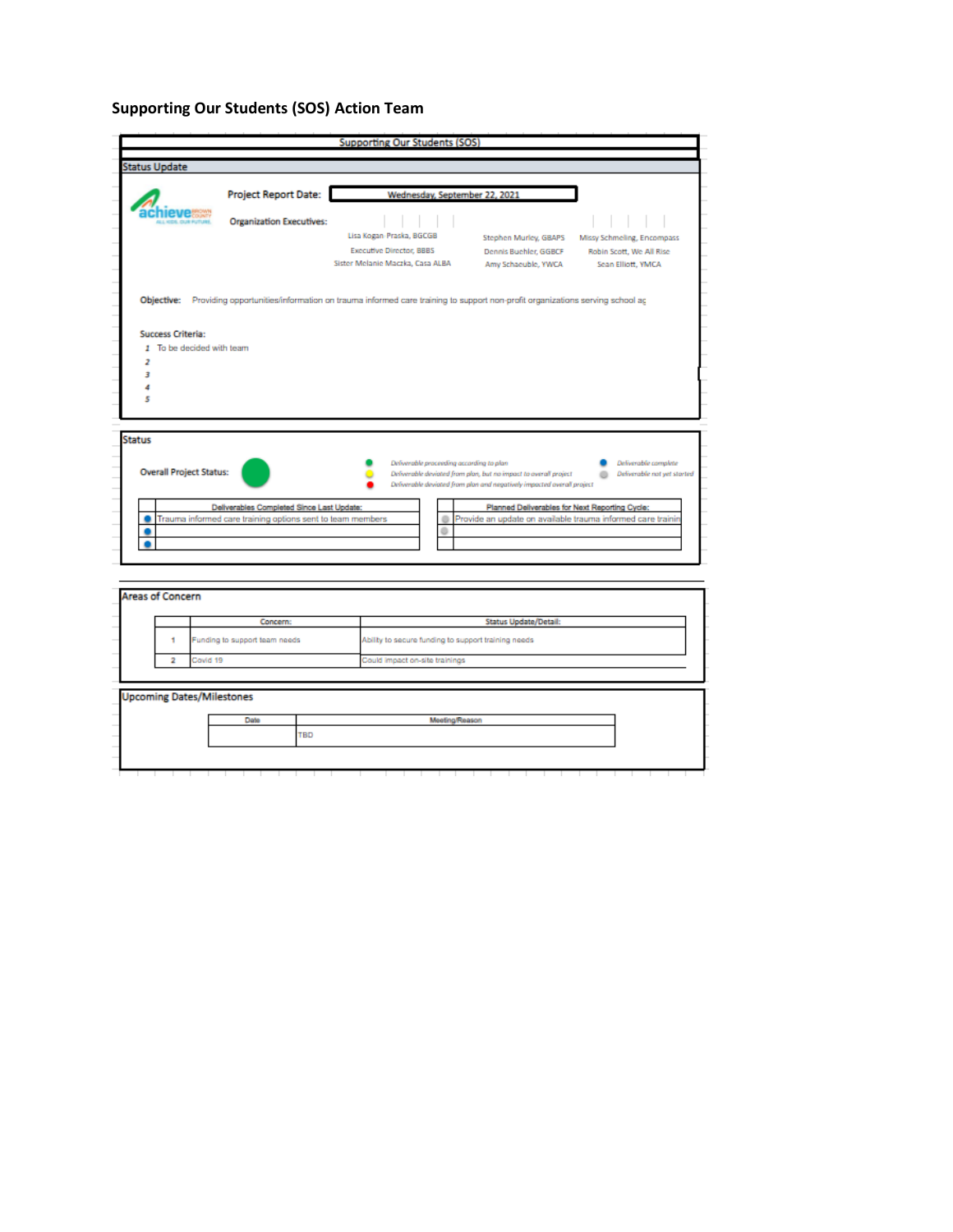# **Supporting Our Students (SOS) Action Team**

|                                |                                                            |                                                                                                                            | <b>Supporting Our Students (SOS)</b>                                   |                                                             |
|--------------------------------|------------------------------------------------------------|----------------------------------------------------------------------------------------------------------------------------|------------------------------------------------------------------------|-------------------------------------------------------------|
| <b>Status Update</b>           |                                                            |                                                                                                                            |                                                                        |                                                             |
|                                |                                                            |                                                                                                                            |                                                                        |                                                             |
|                                | <b>Project Report Date:</b>                                | Wednesday, September 22, 2021                                                                                              |                                                                        |                                                             |
|                                | <b>Organization Executives:</b>                            |                                                                                                                            |                                                                        |                                                             |
|                                |                                                            | Lisa Kogan-Praska, BGCGB                                                                                                   | Stephen Murley, GBAPS                                                  | Missy Schmeling, Encompass                                  |
|                                |                                                            | <b>Executive Director, BBBS</b>                                                                                            | Dennis Buehler, GGBCF                                                  | Robin Scott, We All Rise                                    |
|                                |                                                            | Sister Melanie Maczka, Casa ALBA                                                                                           | Amy Schaeuble, YWCA                                                    | Sean Elliott, YMCA                                          |
|                                |                                                            |                                                                                                                            |                                                                        |                                                             |
| Objective:                     |                                                            | Providing opportunities/information on trauma informed care training to support non-profit organizations serving school ag |                                                                        |                                                             |
|                                |                                                            |                                                                                                                            |                                                                        |                                                             |
| <b>Success Criteria:</b>       |                                                            |                                                                                                                            |                                                                        |                                                             |
| 1 To be decided with team      |                                                            |                                                                                                                            |                                                                        |                                                             |
| 2                              |                                                            |                                                                                                                            |                                                                        |                                                             |
| з                              |                                                            |                                                                                                                            |                                                                        |                                                             |
|                                |                                                            |                                                                                                                            |                                                                        |                                                             |
|                                |                                                            |                                                                                                                            |                                                                        |                                                             |
| 5                              |                                                            |                                                                                                                            |                                                                        |                                                             |
|                                |                                                            |                                                                                                                            |                                                                        |                                                             |
|                                |                                                            |                                                                                                                            |                                                                        |                                                             |
|                                |                                                            |                                                                                                                            |                                                                        |                                                             |
|                                |                                                            |                                                                                                                            |                                                                        |                                                             |
|                                |                                                            | Deliverable proceeding according to plan                                                                                   |                                                                        | Deliverable complete                                        |
| <b>Overall Project Status:</b> |                                                            |                                                                                                                            | Deliverable deviated from plan, but no impact to overall project       | Deliverable not yet storted                                 |
|                                |                                                            |                                                                                                                            | Deliverable deviated from plan and negatively impacted overall project |                                                             |
|                                | Deliverables Completed Since Last Update:                  |                                                                                                                            | Planned Deliverables for Next Reporting Cycle:                         |                                                             |
|                                | Trauma informed care training options sent to team members |                                                                                                                            |                                                                        | Provide an update on available trauma informed care trainir |
| <b>Status</b>                  |                                                            |                                                                                                                            |                                                                        |                                                             |

|                         |          | Concern:                         | Status Update/Detail:                               |
|-------------------------|----------|----------------------------------|-----------------------------------------------------|
|                         |          | Funding to support team needs    | Ability to secure funding to support training needs |
| $\overline{\mathbf{2}}$ | Covid 19 |                                  | Could impact on-site trainings                      |
|                         |          |                                  |                                                     |
|                         |          | <b>Upcoming Dates/Milestones</b> |                                                     |
|                         |          | Date                             | Meeting/Reason                                      |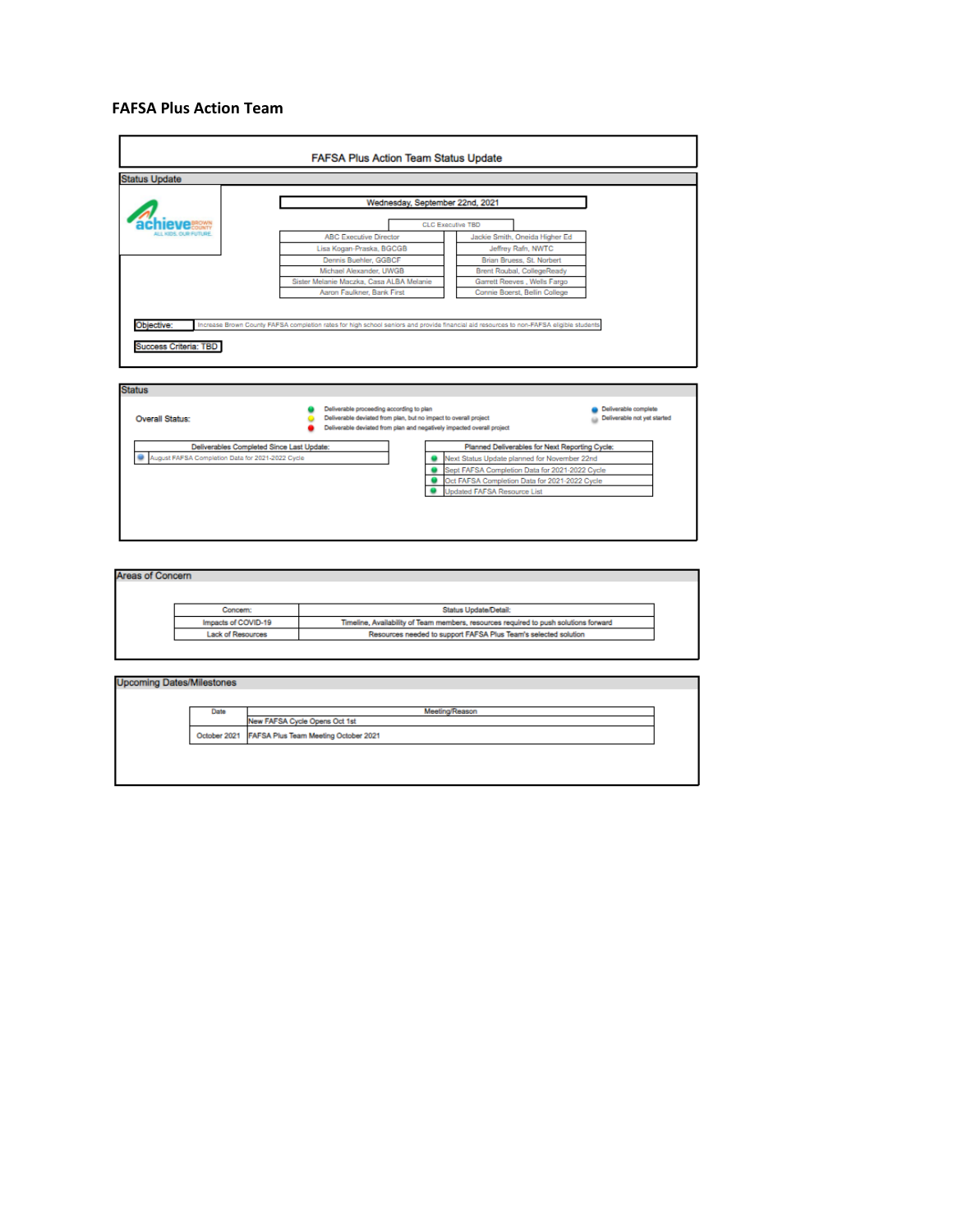#### **FAFSA Plus Action Team**



| Areas of Concern |                     |                                                                                      |
|------------------|---------------------|--------------------------------------------------------------------------------------|
|                  | Concern:            | <b>Status Update/Detail:</b>                                                         |
|                  | Impacts of COVID-19 | Timeline, Availability of Team members, resources required to push solutions forward |
|                  | Lack of Resources   | Resources needed to support FAFSA Plus Team's selected solution                      |

| Date | Meeting/Reason                                    |
|------|---------------------------------------------------|
|      | New FAFSA Cycle Opens Oct 1st                     |
|      | October 2021 FAFSA Plus Team Meeting October 2021 |
|      |                                                   |
|      |                                                   |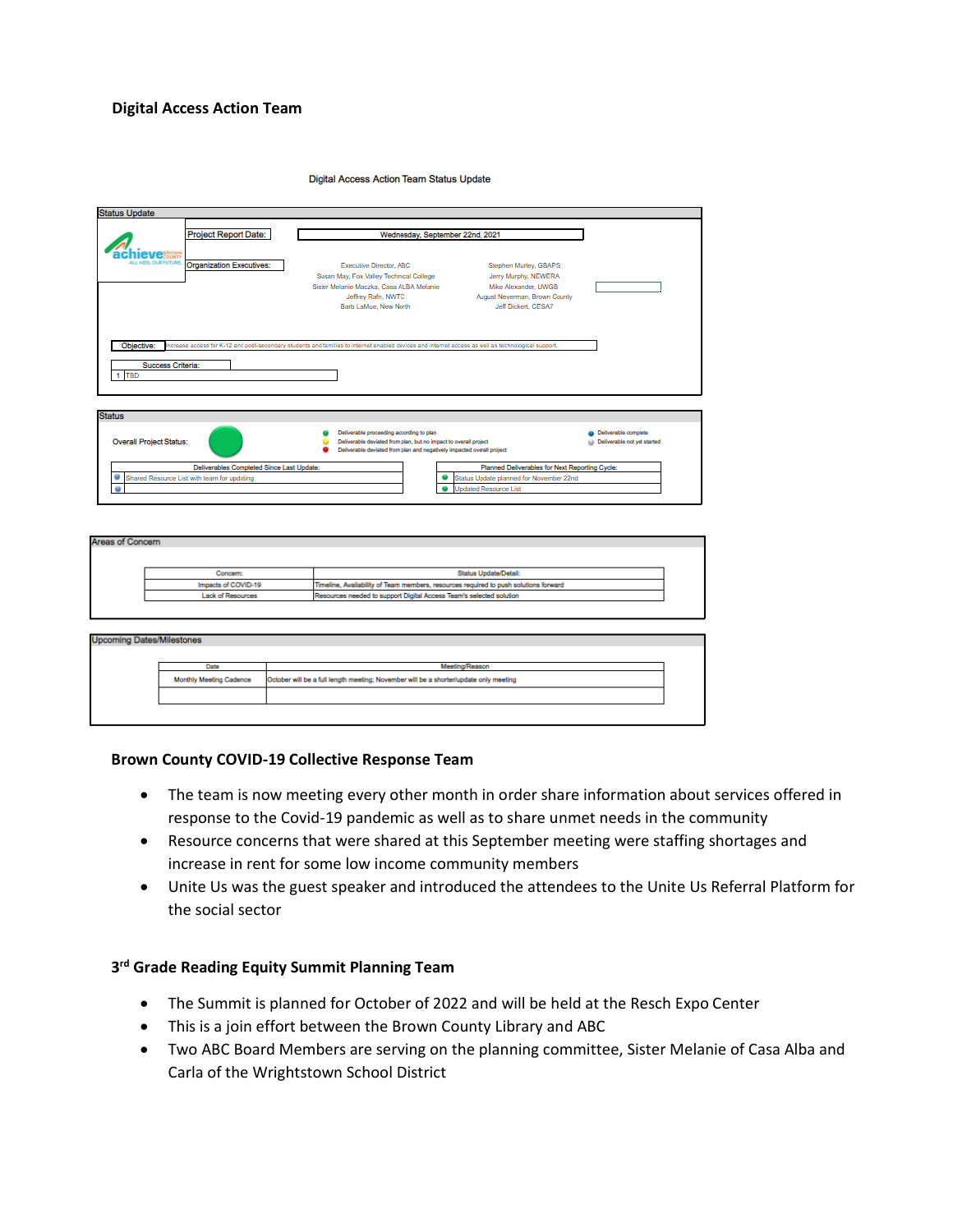#### **Digital Access Action Team**

**Digital Access Action Team Status Update** 

|                                                           | <b>Project Report Date:</b>     | Wednesday, September 22nd, 2021                                                                                                                                      |                                                                                                                               |                                                     |
|-----------------------------------------------------------|---------------------------------|----------------------------------------------------------------------------------------------------------------------------------------------------------------------|-------------------------------------------------------------------------------------------------------------------------------|-----------------------------------------------------|
| <b>U.L. KIDS, OUR FUTURE</b>                              | <b>Organization Executives:</b> | <b>Executive Director, ABC</b><br>Susan May, Fox Valley Technical College<br>Sister Melanie Maczka, Casa ALBA Melanie<br>Jeffrey Rafn, NWTC<br>Barb LaMue, New North | Stephen Murley, GBAPS<br>Jerry Murphy, NEWERA<br>Mike Alexander, UWGB<br>August Neverman, Brown County<br>Jeff Dickert, CESA7 |                                                     |
| Objective:<br>Success Criteria:<br>1 TBD<br><b>Status</b> |                                 | increase access for K-12 and post-secondary students and families to internet enabled devices and internet access as well as technological support.                  |                                                                                                                               |                                                     |
|                                                           |                                 |                                                                                                                                                                      |                                                                                                                               |                                                     |
|                                                           |                                 | Deliverable proceeding according to plan<br>Deliverable deviated from plan, but no impact to overall project                                                         |                                                                                                                               | Deliverable complete<br>Deliverable not yet started |
| <b>Overall Project Status:</b>                            |                                 | Deliverable deviated from plan and negatively impacted overall project                                                                                               |                                                                                                                               |                                                     |

| Areas of Concern |                          |                                                                                      |  |
|------------------|--------------------------|--------------------------------------------------------------------------------------|--|
|                  |                          |                                                                                      |  |
|                  | Concern:                 | <b>Status Update/Detail:</b>                                                         |  |
|                  | Impacts of COVID-19      | Timeline, Availability of Team members, resources required to push solutions forward |  |
|                  | <b>Lack of Resources</b> | Resources needed to support Digital Access Team's selected solution                  |  |
|                  |                          |                                                                                      |  |

| <b>Upcoming Dates/Milestones</b> |                                                                                       |
|----------------------------------|---------------------------------------------------------------------------------------|
| Date                             | Meeting/Reason                                                                        |
| Monthly Meeting Cadence          | October will be a full length meeting; November will be a shorter/update only meeting |
|                                  |                                                                                       |

#### **Brown County COVID-19 Collective Response Team**

- The team is now meeting every other month in order share information about services offered in response to the Covid-19 pandemic as well as to share unmet needs in the community
- Resource concerns that were shared at this September meeting were staffing shortages and increase in rent for some low income community members
- Unite Us was the guest speaker and introduced the attendees to the Unite Us Referral Platform for the social sector

## **3 rd Grade Reading Equity Summit Planning Team**

- The Summit is planned for October of 2022 and will be held at the Resch Expo Center
- This is a join effort between the Brown County Library and ABC
- Two ABC Board Members are serving on the planning committee, Sister Melanie of Casa Alba and Carla of the Wrightstown School District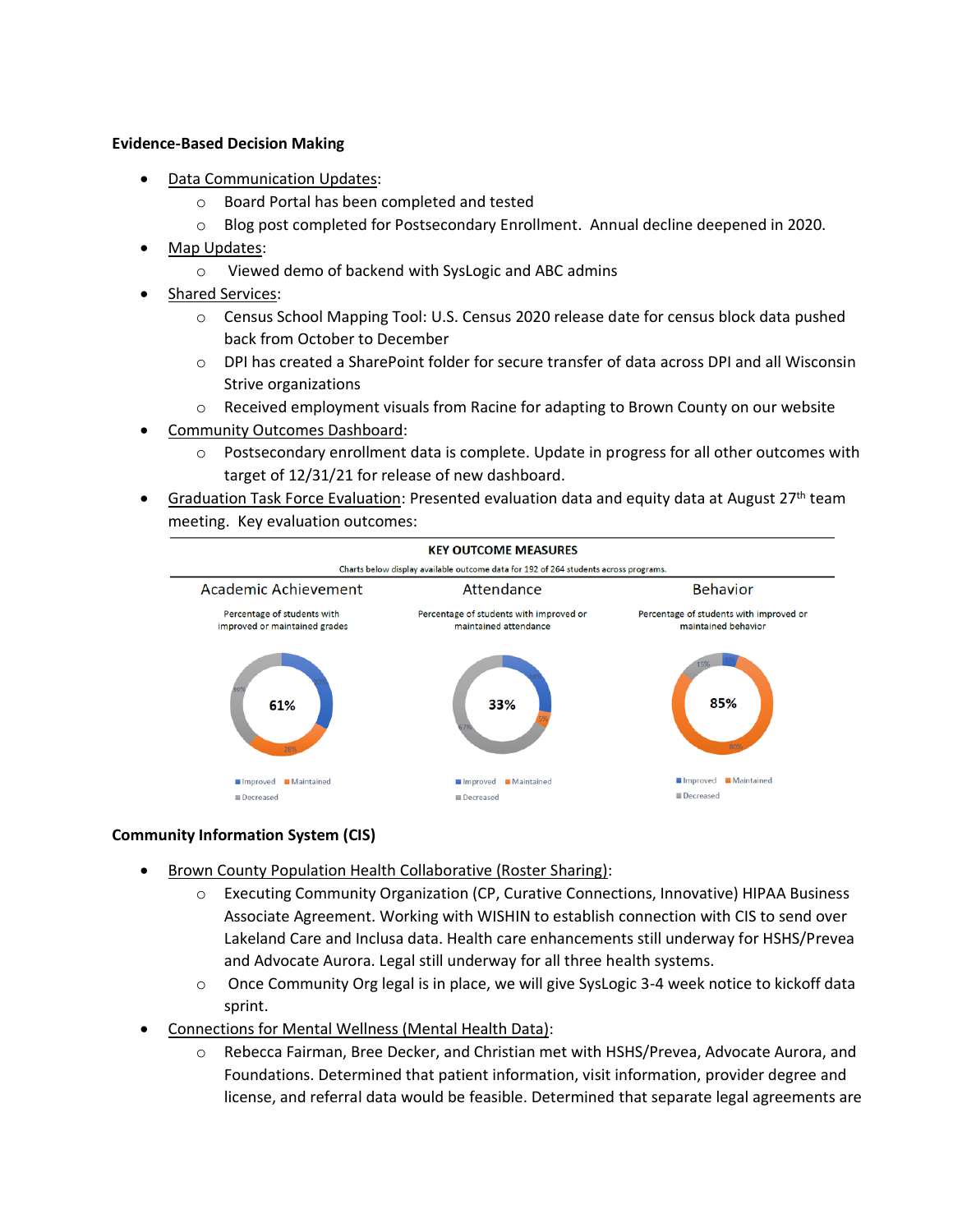### **Evidence-Based Decision Making**

- **Data Communication Updates:** 
	- o Board Portal has been completed and tested
	- o Blog post completed for Postsecondary Enrollment. Annual decline deepened in 2020.
- Map Updates:
	- o Viewed demo of backend with SysLogic and ABC admins
- Shared Services:
	- o Census School Mapping Tool: U.S. Census 2020 release date for census block data pushed back from October to December
	- o DPI has created a SharePoint folder for secure transfer of data across DPI and all Wisconsin Strive organizations
	- $\circ$  Received employment visuals from Racine for adapting to Brown County on our website
- Community Outcomes Dashboard:
	- o Postsecondary enrollment data is complete. Update in progress for all other outcomes with target of 12/31/21 for release of new dashboard.
- Graduation Task Force Evaluation: Presented evaluation data and equity data at August 27<sup>th</sup> team meeting. Key evaluation outcomes:



### **Community Information System (CIS)**

- Brown County Population Health Collaborative (Roster Sharing):
	- o Executing Community Organization (CP, Curative Connections, Innovative) HIPAA Business Associate Agreement. Working with WISHIN to establish connection with CIS to send over Lakeland Care and Inclusa data. Health care enhancements still underway for HSHS/Prevea and Advocate Aurora. Legal still underway for all three health systems.
	- o Once Community Org legal is in place, we will give SysLogic 3-4 week notice to kickoff data sprint.
- Connections for Mental Wellness (Mental Health Data):
	- o Rebecca Fairman, Bree Decker, and Christian met with HSHS/Prevea, Advocate Aurora, and Foundations. Determined that patient information, visit information, provider degree and license, and referral data would be feasible. Determined that separate legal agreements are